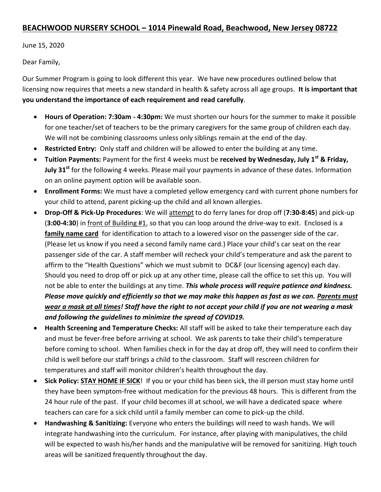## **BEACHWOOD NURSERY SCHOOL – 1014 Pinewald Road, Beachwood, New Jersey 08722**

June 15, 2020

Dear Family,

Our Summer Program is going to look different this year. We have new procedures outlined below that licensing now requires that meets a new standard in health & safety across all age groups. **It is important that you understand the importance of each requirement and read carefully**.

- **Hours of Operation: 7:30am - 4:30pm:** We must shorten our hours for the summer to make it possible for one teacher/set of teachers to be the primary caregivers for the same group of children each day. We will not be combining classrooms unless only siblings remain at the end of the day.
- **Restricted Entry:** Only staff and children will be allowed to enter the building at any time.
- **Tuition Payments:** Payment for the first 4 weeks must be **received by Wednesday, July 1st & Friday, July 31st** for the following 4 weeks. Please mail your payments in advance of these dates. Information on an online payment option will be available soon.
- **Enrollment Forms:** We must have a completed yellow emergency card with current phone numbers for your child to attend, parent picking-up the child and all known allergies.
- **Drop-Off & Pick-Up Procedures**: We will attempt to do ferry lanes for drop off (**7:30-8:45**) and pick-up (**3:00-4:30**) in front of Building #1, so that you can loop around the drive-way to exit. Enclosed is a **family name card** for identification to attach to a lowered visor on the passenger side of the car. (Please let us know if you need a second family name card.) Place your child's car seat on the rear passenger side of the car. A staff member will recheck your child's temperature and ask the parent to affirm to the "Health Questions" which we must submit to DC&F (our licensing agency) each day. Should you need to drop off or pick up at any other time, please call the office to set this up. You will not be able to enter the buildings at any time. *This whole process will require patience and kindness. Please move quickly and efficiently so that we may make this happen as fast as we can. Parents must wear a mask at all times! Staff have the right to not accept your child if you are not wearing a mask and following the guidelines to minimize the spread of COVID19.*
- **Health Screening and Temperature Checks:** All staff will be asked to take their temperature each day and must be fever-free before arriving at school. We ask parents to take their child's temperature before coming to school. When families check in for the day at drop off, they will need to confirm their child is well before our staff brings a child to the classroom. Staff will rescreen children for temperatures and staff will monitor children's health throughout the day.
- **Sick Policy: STAY HOME IF SICK**! If you or your child has been sick, the ill person must stay home until they have been symptom-free without medication for the previous 48 hours. This is different from the 24 hour rule of the past. If your child becomes ill at school, we will have a dedicated space where teachers can care for a sick child until a family member can come to pick-up the child.
- **Handwashing & Sanitizing:** Everyone who enters the buildings will need to wash hands. We will integrate handwashing into the curriculum. For instance, after playing with manipulatives, the child will be expected to wash his/her hands and the manipulative will be removed for sanitizing. High touch areas will be sanitized frequently throughout the day.